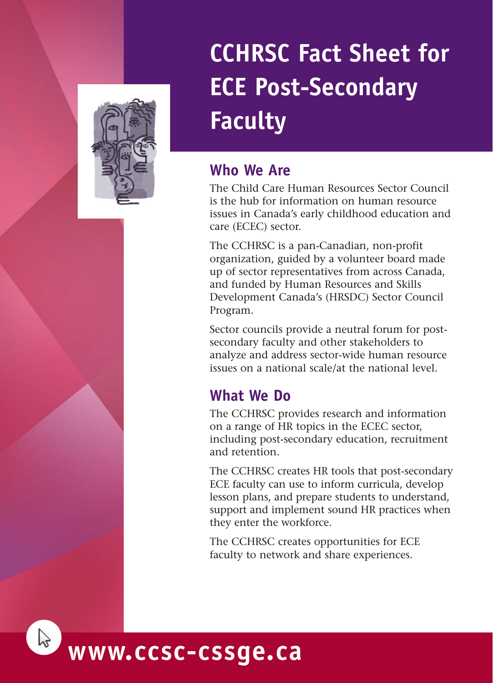

# **CCHRSC Fact Sheet for ECE Post-Secondary Faculty**

## **Who We Are**

The Child Care Human Resources Sector Council is the hub for information on human resource issues in Canada's early childhood education and care (ECEC) sector.

The CCHRSC is a pan-Canadian, non-profit organization, guided by a volunteer board made up of sector representatives from across Canada, and funded by Human Resources and Skills Development Canada's (HRSDC) Sector Council Program.

Sector councils provide a neutral forum for postsecondary faculty and other stakeholders to analyze and address sector-wide human resource issues on a national scale/at the national level.

# **What We Do**

The CCHRSC provides research and information on a range of HR topics in the ECEC sector, including post-secondary education, recruitment and retention.

The CCHRSC creates HR tools that post-secondary ECE faculty can use to inform curricula, develop lesson plans, and prepare students to understand, support and implement sound HR practices when they enter the workforce.

The CCHRSC creates opportunities for ECE faculty to network and share experiences.

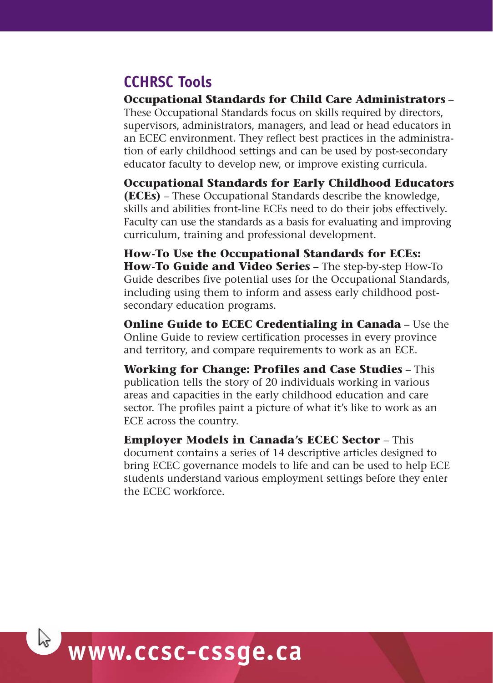## **CCHRSC Tools**

**Occupational Standards for Child Care Administrators** – These Occupational Standards focus on skills required by directors, supervisors, administrators, managers, and lead or head educators in an ECEC environment. They reflect best practices in the administration of early childhood settings and can be used by post-secondary educator faculty to develop new, or improve existing curricula.

**Occupational Standards for Early Childhood Educators (ECEs)** – These Occupational Standards describe the knowledge, skills and abilities front-line ECEs need to do their jobs effectively. Faculty can use the standards as a basis for evaluating and improving curriculum, training and professional development.

**How-To Use the Occupational Standards for ECEs: How-To Guide and Video Series** – The step-by-step How-To Guide describes five potential uses for the Occupational Standards, including using them to inform and assess early childhood postsecondary education programs.

**Online Guide to ECEC Credentialing in Canada** – Use the Online Guide to review certification processes in every province and territory, and compare requirements to work as an ECE.

**Working for Change: Profiles and Case Studies** – This publication tells the story of 20 individuals working in various areas and capacities in the early childhood education and care sector. The profiles paint a picture of what it's like to work as an ECE across the country.

**Employer Models in Canada's ECEC Sector** – This document contains a series of 14 descriptive articles designed to bring ECEC governance models to life and can be used to help ECE students understand various employment settings before they enter the ECEC workforce.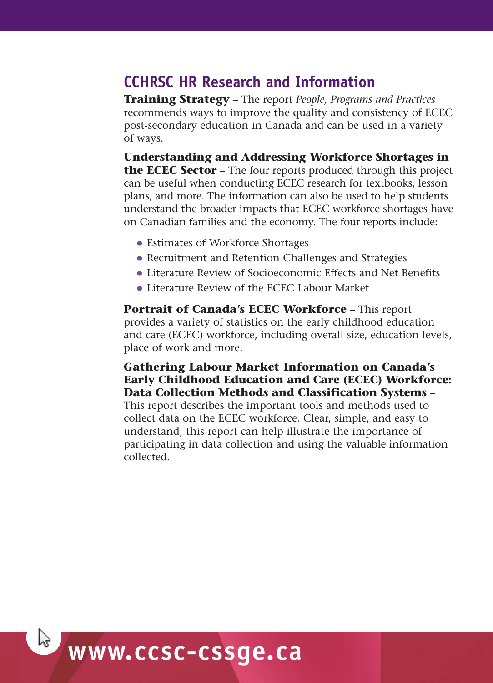### **CCHRSC HR Research and Information**

**Training Strategy** – The report *People, Programs and Practices* recommends ways to improve the quality and consistency of ECEC post-secondary education in Canada and can be used in a variety of ways.

**Understanding and Addressing Workforce Shortages in the ECEC Sector** – The four reports produced through this project can be useful when conducting ECEC research for textbooks, lesson plans, and more. The information can also be used to help students understand the broader impacts that ECEC workforce shortages have on Canadian families and the economy. The four reports include:

- Estimates of Workforce Shortages
- Recruitment and Retention Challenges and Strategies
- Literature Review of Socioeconomic Effects and Net Benefits
- Literature Review of the ECEC Labour Market

**Portrait of Canada's ECEC Workforce** – This report provides a variety of statistics on the early childhood education and care (ECEC) workforce, including overall size, education levels, place of work and more.

#### **Gathering Labour Market Information on Canada's Early Childhood Education and Care (ECEC) Workforce: Data Collection Methods and Classification Systems** –

This report describes the important tools and methods used to collect data on the ECEC workforce. Clear, simple, and easy to understand, this report can help illustrate the importance of participating in data collection and using the valuable information collected.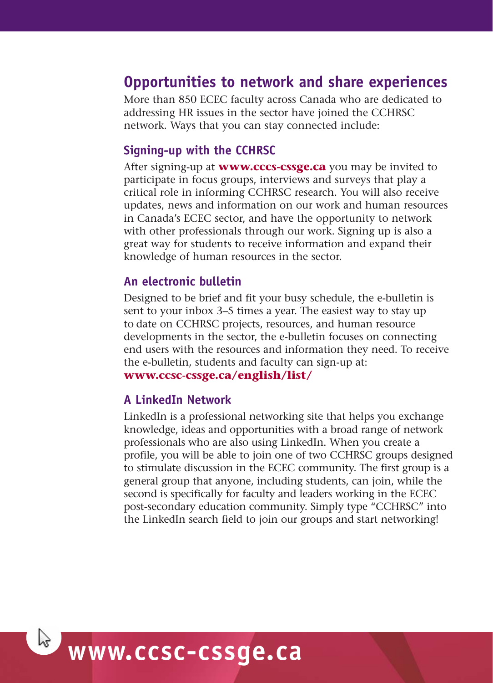### **Opportunities to network and share experiences**

More than 850 ECEC faculty across Canada who are dedicated to addressing HR issues in the sector have joined the CCHRSC network. Ways that you can stay connected include:

#### **Signing-up with the CCHRSC**

After signing-up at **www.cccs-cssge.ca** you may be invited to participate in focus groups, interviews and surveys that play a critical role in informing CCHRSC research. You will also receive updates, news and information on our work and human resources in Canada's ECEC sector, and have the opportunity to network with other professionals through our work. Signing up is also a great way for students to receive information and expand their knowledge of human resources in the sector.

#### **An electronic bulletin**

Designed to be brief and fit your busy schedule, the e-bulletin is sent to your inbox 3–5 times a year. The easiest way to stay up to date on CCHRSC projects, resources, and human resource developments in the sector, the e-bulletin focuses on connecting end users with the resources and information they need. To receive the e-bulletin, students and faculty can sign-up at: **www.ccsc-cssge.ca/english/list/**

#### **A LinkedIn Network**

LinkedIn is a professional networking site that helps you exchange knowledge, ideas and opportunities with a broad range of network professionals who are also using LinkedIn. When you create a profile, you will be able to join one of two CCHRSC groups designed to stimulate discussion in the ECEC community. The first group is a general group that anyone, including students, can join, while the second is specifically for faculty and leaders working in the ECEC post-secondary education community. Simply type "CCHRSC" into the LinkedIn search field to join our groups and start networking!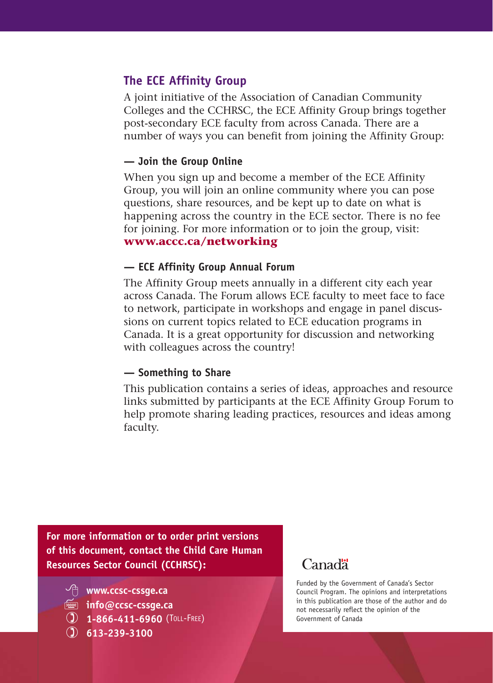#### **The ECE Affinity Group**

A joint initiative of the Association of Canadian Community Colleges and the CCHRSC, the ECE Affinity Group brings together post-secondary ECE faculty from across Canada. There are a number of ways you can benefit from joining the Affinity Group:

#### **— Join the Group Online**

When you sign up and become a member of the ECE Affinity Group, you will join an online community where you can pose questions, share resources, and be kept up to date on what is happening across the country in the ECE sector. There is no fee for joining. For more information or to join the group, visit: **www.accc.ca/networking**

#### **— ECE Affinity Group Annual Forum**

The Affinity Group meets annually in a different city each year across Canada. The Forum allows ECE faculty to meet face to face to network, participate in workshops and engage in panel discussions on current topics related to ECE education programs in Canada. It is a great opportunity for discussion and networking with colleagues across the country!

#### **— Something to Share**

This publication contains a series of ideas, approaches and resource links submitted by participants at the ECE Affinity Group Forum to help promote sharing leading practices, resources and ideas among faculty.

**For more information or to order print versions of this document, contact the Child Care Human Resources Sector Council (CCHRSC):**

- **www.ccsc-cssge.ca**
- **info@ccsc-cssge.ca**
- **1-866-411-6960** (TOLL-FREE)
- **613-239-3100**

### Canadä<sup>r</sup>

Funded by the Government of Canada's Sector Council Program. The opinions and interpretations in this publication are those of the author and do not necessarily reflect the opinion of the Government of Canada